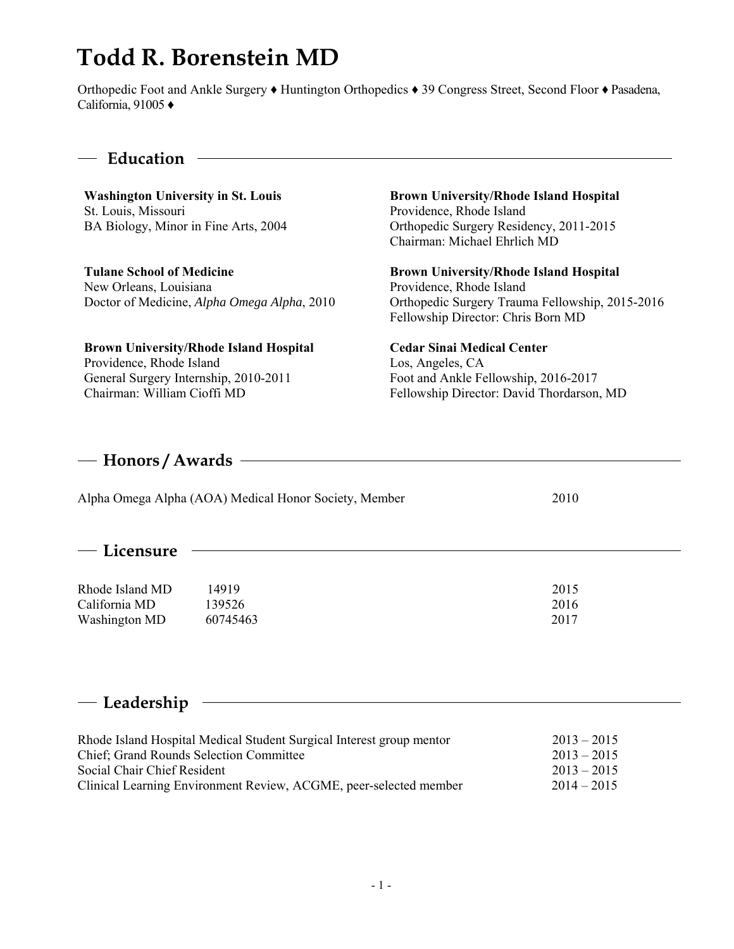# **Todd R. Borenstein MD**

Orthopedic Foot and Ankle Surgery ♦ Huntington Orthopedics ♦ 39 Congress Street, Second Floor ♦ Pasadena, California, 91005 ♦

#### **Education**

**Washington University in St. Louis**  St. Louis, Missouri BA Biology, Minor in Fine Arts, 2004

**Tulane School of Medicine**  New Orleans, Louisiana Doctor of Medicine, *Alpha Omega Alpha*, 2010

**Brown University/Rhode Island Hospital**  Providence, Rhode Island General Surgery Internship, 2010-2011 Chairman: William Cioffi MD

**Brown University/Rhode Island Hospital** Providence, Rhode Island Orthopedic Surgery Residency, 2011-2015 Chairman: Michael Ehrlich MD

**Brown University/Rhode Island Hospital**  Providence, Rhode Island Orthopedic Surgery Trauma Fellowship, 2015-2016 Fellowship Director: Chris Born MD

**Cedar Sinai Medical Center**  Los, Angeles, CA Foot and Ankle Fellowship, 2016-2017 Fellowship Director: David Thordarson, MD

#### **Honors / Awards**

| Alpha Omega Alpha (AOA) Medical Honor Society, Member | 2010 |
|-------------------------------------------------------|------|
|                                                       |      |

#### **Licensure**

Rhode Island MD 14919 2015 California MD 139526 2016 Washington MD 60745463 2017

# **Leadership**

| Rhode Island Hospital Medical Student Surgical Interest group mentor | $2013 - 2015$ |
|----------------------------------------------------------------------|---------------|
| <b>Chief</b> ; Grand Rounds Selection Committee                      | $2013 - 2015$ |
| Social Chair Chief Resident                                          | $2013 - 2015$ |
| Clinical Learning Environment Review, ACGME, peer-selected member    | $2014 - 2015$ |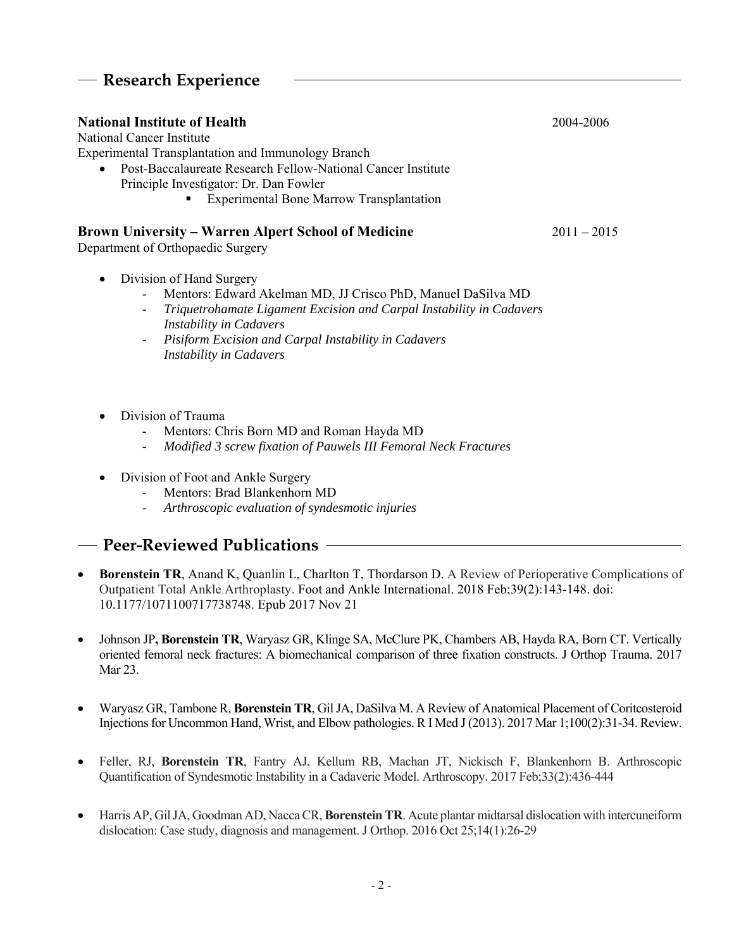# **Research Experience**

| <b>National Institute of Health</b>                                                                                 | 2004-2006     |
|---------------------------------------------------------------------------------------------------------------------|---------------|
| National Cancer Institute                                                                                           |               |
| <b>Experimental Transplantation and Immunology Branch</b>                                                           |               |
| Post-Baccalaureate Research Fellow-National Cancer Institute<br>$\bullet$<br>Principle Investigator: Dr. Dan Fowler |               |
| <b>Experimental Bone Marrow Transplantation</b>                                                                     |               |
| <b>Brown University – Warren Alpert School of Medicine</b><br>Department of Orthopaedic Surgery                     | $2011 - 2015$ |
| Division of Hand Surgery<br>$\bullet$<br>Mentors: Edward Akelman MD, JJ Crisco PhD, Manuel DaSilva MD               |               |

- *Triquetrohamate Ligament Excision and Carpal Instability in Cadavers Instability in Cadavers*
- *Pisiform Excision and Carpal Instability in Cadavers Instability in Cadavers*
- Division of Trauma
	- Mentors: Chris Born MD and Roman Hayda MD
	- *Modified 3 screw fixation of Pauwels III Femoral Neck Fractures*
- Division of Foot and Ankle Surgery
	- Mentors: Brad Blankenhorn MD
		- *Arthroscopic evaluation of syndesmotic injuries*

# **Peer-Reviewed Publications**

- **Borenstein TR**, Anand K, Quanlin L, Charlton T, Thordarson D. A Review of Perioperative Complications of Outpatient Total Ankle Arthroplasty. Foot and Ankle International. 2018 Feb;39(2):143-148. doi: 10.1177/1071100717738748. Epub 2017 Nov 21
- Johnson JP**, Borenstein TR**, Waryasz GR, Klinge SA, McClure PK, Chambers AB, Hayda RA, Born CT. Vertically oriented femoral neck fractures: A biomechanical comparison of three fixation constructs. J Orthop Trauma. 2017 Mar 23.
- Waryasz GR, Tambone R, **Borenstein TR**, Gil JA, DaSilva M. A Review of Anatomical Placement of Coritcosteroid Injections for Uncommon Hand, Wrist, and Elbow pathologies. R I Med J (2013). 2017 Mar 1;100(2):31-34. Review.
- Feller, RJ, **Borenstein TR**, Fantry AJ, Kellum RB, Machan JT, Nickisch F, Blankenhorn B. Arthroscopic Quantification of Syndesmotic Instability in a Cadaveric Model. Arthroscopy. 2017 Feb;33(2):436-444
- Harris AP, Gil JA, Goodman AD, Nacca CR, **Borenstein TR**. Acute plantar midtarsal dislocation with intercuneiform dislocation: Case study, diagnosis and management. J Orthop. 2016 Oct 25;14(1):26-29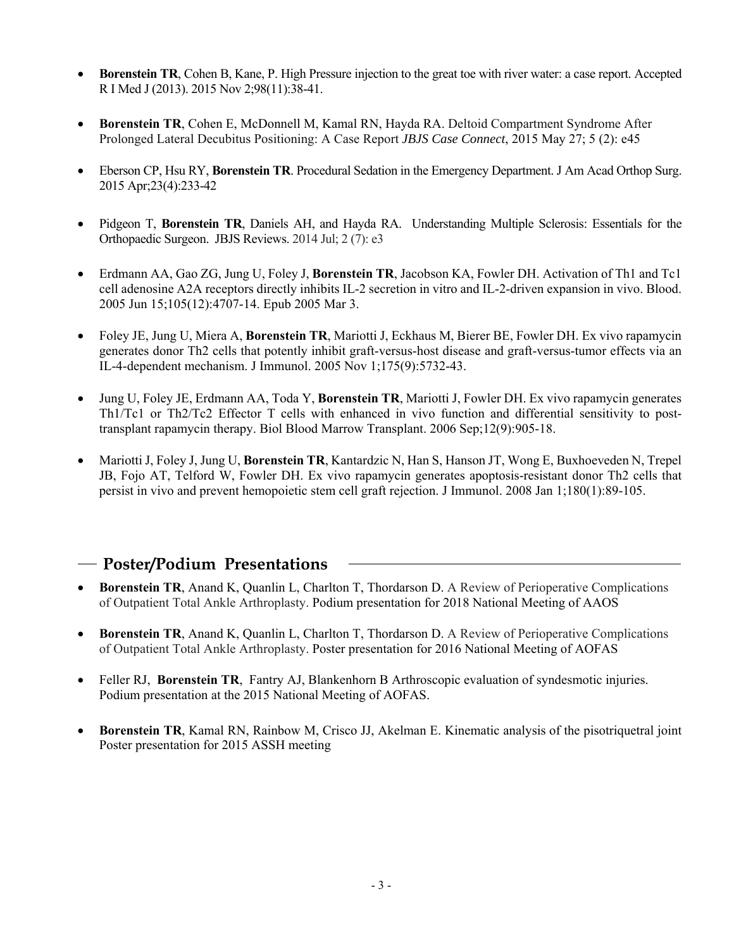- **Borenstein TR**, Cohen B, Kane, P. High Pressure injection to the great toe with river water: a case report. Accepted R I Med J (2013). 2015 Nov 2;98(11):38-41.
- **Borenstein TR**, Cohen E, McDonnell M, Kamal RN, Hayda RA. Deltoid Compartment Syndrome After Prolonged Lateral Decubitus Positioning: A Case Report *JBJS Case Connect*, 2015 May 27; 5 (2): e45
- Eberson CP, Hsu RY, **Borenstein TR**. Procedural Sedation in the Emergency Department. J Am Acad Orthop Surg. 2015 Apr;23(4):233-42
- Pidgeon T, **Borenstein TR**, Daniels AH, and Hayda RA. Understanding Multiple Sclerosis: Essentials for the Orthopaedic Surgeon. JBJS Reviews. 2014 Jul; 2 (7): e3
- Erdmann AA, Gao ZG, Jung U, Foley J, **Borenstein TR**, Jacobson KA, Fowler DH. Activation of Th1 and Tc1 cell adenosine A2A receptors directly inhibits IL-2 secretion in vitro and IL-2-driven expansion in vivo. Blood. 2005 Jun 15;105(12):4707-14. Epub 2005 Mar 3.
- Foley JE, Jung U, Miera A, **Borenstein TR**, Mariotti J, Eckhaus M, Bierer BE, Fowler DH. Ex vivo rapamycin generates donor Th2 cells that potently inhibit graft-versus-host disease and graft-versus-tumor effects via an IL-4-dependent mechanism. J Immunol. 2005 Nov 1;175(9):5732-43.
- Jung U, Foley JE, Erdmann AA, Toda Y, **Borenstein TR**, Mariotti J, Fowler DH. Ex vivo rapamycin generates Th1/Tc1 or Th2/Tc2 Effector T cells with enhanced in vivo function and differential sensitivity to posttransplant rapamycin therapy. Biol Blood Marrow Transplant. 2006 Sep;12(9):905-18.
- Mariotti J, Foley J, Jung U, **Borenstein TR**, Kantardzic N, Han S, Hanson JT, Wong E, Buxhoeveden N, Trepel JB, Fojo AT, Telford W, Fowler DH. Ex vivo rapamycin generates apoptosis-resistant donor Th2 cells that persist in vivo and prevent hemopoietic stem cell graft rejection. J Immunol. 2008 Jan 1;180(1):89-105.

#### **Poster/Podium Presentations**

- **Borenstein TR**, Anand K, Quanlin L, Charlton T, Thordarson D. A Review of Perioperative Complications of Outpatient Total Ankle Arthroplasty. Podium presentation for 2018 National Meeting of AAOS
- **Borenstein TR**, Anand K, Quanlin L, Charlton T, Thordarson D. A Review of Perioperative Complications of Outpatient Total Ankle Arthroplasty. Poster presentation for 2016 National Meeting of AOFAS
- Feller RJ, **Borenstein TR**, Fantry AJ, Blankenhorn B Arthroscopic evaluation of syndesmotic injuries. Podium presentation at the 2015 National Meeting of AOFAS.
- **Borenstein TR**, Kamal RN, Rainbow M, Crisco JJ, Akelman E. Kinematic analysis of the pisotriquetral joint Poster presentation for 2015 ASSH meeting